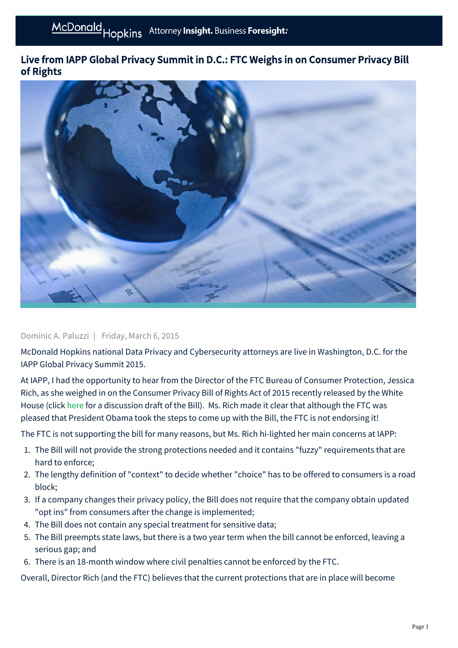## Live from IAPP Global Privacy Summit in D.C.: FTC Weighs in on Consumer Privacy Bill of Rights



## Dominic A. Paluzzi | Friday, March 6, 2015

McDonald Hopkins national Data Privacy and Cybersecurity attorneys are live in Washington, D.C. for the IAPP Global Privacy Summit 2015.

At IAPP, I had the opportunity to hear from the Director of the FTC Bureau of Consumer Protection, Jessica Rich, as she weighed in on the Consumer Privacy Bill of Rights Act of 2015 recently released by the White House (click [here](http://www.whitehouse.gov/sites/default/files/omb/legislative/letters/cpbr-act-of-2015-discussion-draft.pdf) for a discussion draft of the Bill). Ms. Rich made it clear that although the FTC was pleased that President Obama took the steps to come up with the Bill, the FTC is not endorsing it!

The FTC is not supporting the bill for many reasons, but Ms. Rich hi-lighted her main concerns at IAPP:

- 1. The Bill will not provide the strong protections needed and it contains "fuzzy" requirements that are hard to enforce;
- 2. The lengthy definition of "context" to decide whether "choice" has to be offered to consumers is a road block;
- 3. If a company changes their privacy policy, the Bill does not require that the company obtain updated "opt ins" from consumers after the change is implemented;
- 4. The Bill does not contain any special treatment for sensitive data;
- 5. The Bill preempts state laws, but there is a two year term when the bill cannot be enforced, leaving a serious gap; and
- 6. There is an 18-month window where civil penalties cannot be enforced by the FTC.

Overall, Director Rich (and the FTC) believes that the current protections that are in place will become